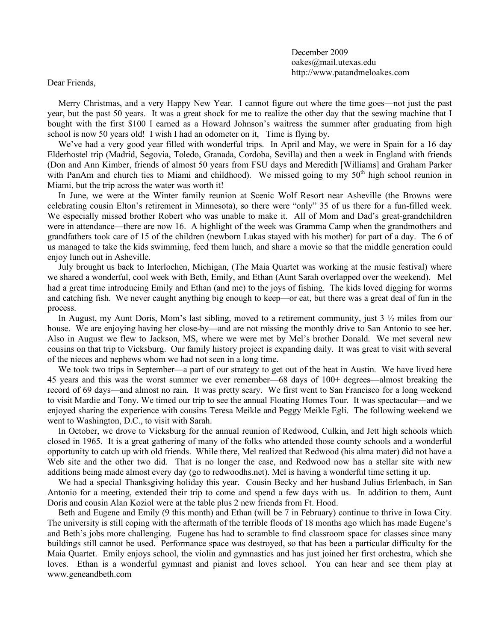December 2009 oakes@mail.utexas.edu http://www.patandmeloakes.com

Dear Friends,

Merry Christmas, and a very Happy New Year. I cannot figure out where the time goes—not just the past year, but the past 50 years. It was a great shock for me to realize the other day that the sewing machine that I bought with the first \$100 I earned as a Howard Johnson's waitress the summer after graduating from high school is now 50 years old! I wish I had an odometer on it, Time is flying by.

We've had a very good year filled with wonderful trips. In April and May, we were in Spain for a 16 day Elderhostel trip (Madrid, Segovia, Toledo, Granada, Cordoba, Sevilla) and then a week in England with friends (Don and Ann Kimber, friends of almost 50 years from FSU days and Meredith [Williams] and Graham Parker with PanAm and church ties to Miami and childhood). We missed going to my 50<sup>th</sup> high school reunion in Miami, but the trip across the water was worth it!

In June, we were at the Winter family reunion at Scenic Wolf Resort near Asheville (the Browns were celebrating cousin Elton's retirement in Minnesota), so there were "only" 35 of us there for a fun-filled week. We especially missed brother Robert who was unable to make it. All of Mom and Dad's great-grandchildren were in attendance—there are now 16. A highlight of the week was Gramma Camp when the grandmothers and grandfathers took care of 15 of the children (newborn Lukas stayed with his mother) for part of a day. The 6 of us managed to take the kids swimming, feed them lunch, and share a movie so that the middle generation could enjoy lunch out in Asheville.

July brought us back to Interlochen, Michigan, (The Maia Quartet was working at the music festival) where we shared a wonderful, cool week with Beth, Emily, and Ethan (Aunt Sarah overlapped over the weekend). Mel had a great time introducing Emily and Ethan (and me) to the joys of fishing. The kids loved digging for worms and catching fish. We never caught anything big enough to keep—or eat, but there was a great deal of fun in the process.

In August, my Aunt Doris, Mom's last sibling, moved to a retirement community, just 3 ½ miles from our house. We are enjoying having her close-by—and are not missing the monthly drive to San Antonio to see her. Also in August we flew to Jackson, MS, where we were met by Mel's brother Donald. We met several new cousins on that trip to Vicksburg. Our family history project is expanding daily. It was great to visit with several of the nieces and nephews whom we had not seen in a long time.

We took two trips in September—a part of our strategy to get out of the heat in Austin. We have lived here 45 years and this was the worst summer we ever remember—68 days of 100+ degrees—almost breaking the record of 69 days—and almost no rain. It was pretty scary. We first went to San Francisco for a long weekend to visit Mardie and Tony. We timed our trip to see the annual Floating Homes Tour. It was spectacular—and we enjoyed sharing the experience with cousins Teresa Meikle and Peggy Meikle Egli. The following weekend we went to Washington, D.C., to visit with Sarah.

In October, we drove to Vicksburg for the annual reunion of Redwood, Culkin, and Jett high schools which closed in 1965. It is a great gathering of many of the folks who attended those county schools and a wonderful opportunity to catch up with old friends. While there, Mel realized that Redwood (his alma mater) did not have a Web site and the other two did. That is no longer the case, and Redwood now has a stellar site with new additions being made almost every day (go to redwoodhs.net). Mel is having a wonderful time setting it up.

We had a special Thanksgiving holiday this year. Cousin Becky and her husband Julius Erlenbach, in San Antonio for a meeting, extended their trip to come and spend a few days with us. In addition to them, Aunt Doris and cousin Alan Koziol were at the table plus 2 new friends from Ft. Hood.

Beth and Eugene and Emily (9 this month) and Ethan (will be 7 in February) continue to thrive in Iowa City. The university is still coping with the aftermath of the terrible floods of 18 months ago which has made Eugene's and Beth's jobs more challenging. Eugene has had to scramble to find classroom space for classes since many buildings still cannot be used. Performance space was destroyed, so that has been a particular difficulty for the Maia Quartet. Emily enjoys school, the violin and gymnastics and has just joined her first orchestra, which she loves. Ethan is a wonderful gymnast and pianist and loves school. You can hear and see them play at www.geneandbeth.com